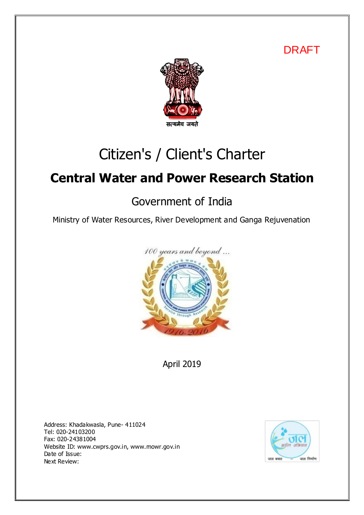DRAFT



# Citizen's / Client's Charter

# **Central Water and Power Research Station**

# Government of India

Ministry of Water Resources, River Development and Ganga Rejuvenation



April 2019

Address: Khadakwasla, Pune- 411024 Tel: 020-24103200 Fax: 020-24381004 Website ID: www.cwprs.gov.in, www.mowr.gov.in Date of Issue: Next Review:

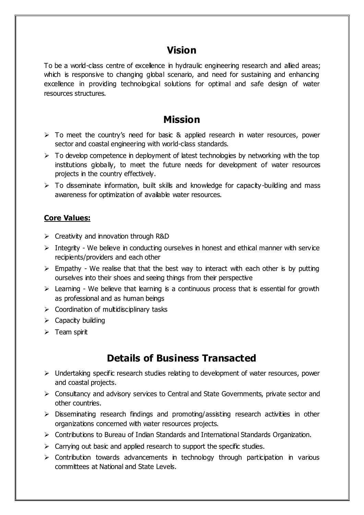### **Vision**

To be a world-class centre of excellence in hydraulic engineering research and allied areas; which is responsive to changing global scenario, and need for sustaining and enhancing excellence in providing technological solutions for optimal and safe design of water resources structures.

#### **Mission**

- $\triangleright$  To meet the country's need for basic & applied research in water resources, power sector and coastal engineering with world-class standards.
- $\triangleright$  To develop competence in deployment of latest technologies by networking with the top institutions globally, to meet the future needs for development of water resources projects in the country effectively.
- $\triangleright$  To disseminate information, built skills and knowledge for capacity-building and mass awareness for optimization of available water resources.

#### **Core Values:**

- $\triangleright$  Creativity and innovation through R&D
- $\triangleright$  Integrity We believe in conducting ourselves in honest and ethical manner with service recipients/providers and each other
- $\triangleright$  Empathy We realise that that the best way to interact with each other is by putting ourselves into their shoes and seeing things from their perspective
- $\triangleright$  Learning We believe that learning is a continuous process that is essential for growth as professional and as human beings
- $\triangleright$  Coordination of multidisciplinary tasks
- $\triangleright$  Capacity building
- $\triangleright$  Team spirit

## **Details of Business Transacted**

- $\triangleright$  Undertaking specific research studies relating to development of water resources, power and coastal projects.
- $\triangleright$  Consultancy and advisory services to Central and State Governments, private sector and other countries.
- $\triangleright$  Disseminating research findings and promoting/assisting research activities in other organizations concerned with water resources projects.
- Contributions to Bureau of Indian Standards and International Standards Organization.
- $\triangleright$  Carrying out basic and applied research to support the specific studies.
- $\triangleright$  Contribution towards advancements in technology through participation in various committees at National and State Levels.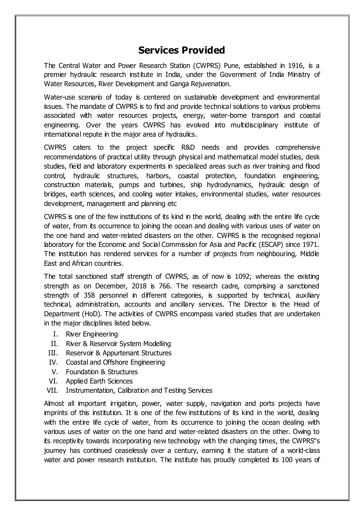#### **Services Provided**

The Central Water and Power Research Station (CWPRS) Pune, established in 1916, is a premier hydraulic research institute in India, under the Government of India Ministry of Water Resources, River Development and Ganga Rejuvenation.

Water-use scenario of today is centered on sustainable development and environmental issues. The mandate of CWPRS is to find and provide technical solutions to various problems associated with water resources projects, energy, water-borne transport and coastal engineering. Over the years CWPRS has evolved into multidisciplinary institute of international repute in the major area of hydraulics.

CWPRS caters to the project specific R&D needs and provides comprehensive recommendations of practical utility through physical and mathematical model studies, desk studies, field and laboratory experiments in specialized areas such as river training and flood control, hydraulic structures, harbors, coastal protection, foundation engineering, construction materials, pumps and turbines, ship hydrodynamics, hydraulic design of bridges, earth sciences, and cooling water intakes, environmental studies, water resources development, management and planning etc

CWPRS is one of the few institutions of its kind in the world, dealing with the entire life cycle of water, from its occurrence to joining the ocean and dealing with various uses of water on the one hand and water-related disasters on the other. CWPRS is the recognised regional laboratory for the Economic and Social Commission for Asia and Pacific (ESCAP) since 1971. The institution has rendered services for a number of projects from neighbouring, Middle East and African countries.

The total sanctioned staff strength of CWPRS, as of now is 1092; whereas the existing strength as on December, 2018 is 766. The research cadre, comprising a sanctioned strength of 358 personnel in different categories, is supported by technical, auxiliary technical, administration, accounts and ancillary services. The Director is the Head of Department (HoD). The activities of CWPRS encompass varied studies that are undertaken in the major disciplines listed below.

- I. River Engineering
- II. River & Reservoir System Modelling
- III. Reservoir & Appurtenant Structures
- IV. Coastal and Offshore Engineering
- V. Foundation & Structures
- VI. Applied Earth Sciences
- VII. Instrumentation, Calibration and Testing Services

Almost all important irrigation, power, water supply, navigation and ports projects have imprints of this institution. It is one of the few institutions of its kind in the world, dealing with the entire life cycle of water, from its occurrence to joining the ocean dealing with various uses of water on the one hand and water-related disasters on the other. Owing to its receptivity towards incorporating new technology with the changing times, the CWPRS"s journey has continued ceaselessly over a century, earning it the stature of a world-class water and power research institution. The institute has proudly completed its 100 years of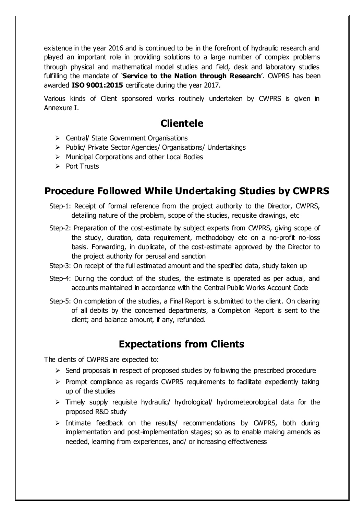existence in the year 2016 and is continued to be in the forefront of hydraulic research and played an important role in providing solutions to a large number of complex problems through physical and mathematical model studies and field, desk and laboratory studies fulfilling the mandate of '**Service to the Nation through Research**'. CWPRS has been awarded **ISO 9001:2015** certificate during the year 2017.

Various kinds of Client sponsored works routinely undertaken by CWPRS is given in Annexure I.

# **Clientele**

- Central/ State Government Organisations
- $\triangleright$  Public/ Private Sector Agencies/ Organisations/ Undertakings
- $\triangleright$  Municipal Corporations and other Local Bodies
- $\triangleright$  Port Trusts

# **Procedure Followed While Undertaking Studies by CWPRS**

- Step-1: Receipt of formal reference from the project authority to the Director, CWPRS, detailing nature of the problem, scope of the studies, requisite drawings, etc
- Step-2: Preparation of the cost-estimate by subject experts from CWPRS, giving scope of the study, duration, data requirement, methodology etc on a no-profit no-loss basis. Forwarding, in duplicate, of the cost-estimate approved by the Director to the project authority for perusal and sanction
- Step-3: On receipt of the full estimated amount and the specified data, study taken up
- Step-4: During the conduct of the studies, the estimate is operated as per actual, and accounts maintained in accordance with the Central Public Works Account Code
- Step-5: On completion of the studies, a Final Report is submitted to the client. On clearing of all debits by the concerned departments, a Completion Report is sent to the client; and balance amount, if any, refunded.

## **Expectations from Clients**

The clients of CWPRS are expected to:

- $\triangleright$  Send proposals in respect of proposed studies by following the prescribed procedure
- $\triangleright$  Prompt compliance as regards CWPRS requirements to facilitate expediently taking up of the studies
- $\triangleright$  Timely supply requisite hydraulic/ hydrological/ hydrometeorological data for the proposed R&D study
- $\triangleright$  Intimate feedback on the results/ recommendations by CWPRS, both during implementation and post-implementation stages; so as to enable making amends as needed, learning from experiences, and/ or increasing effectiveness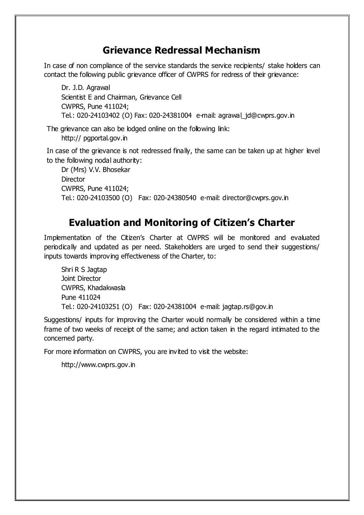#### **Grievance Redressal Mechanism**

In case of non compliance of the service standards the service recipients/ stake holders can contact the following public grievance officer of CWPRS for redress of their grievance:

Dr. J.D. Agrawal Scientist E and Chairman, Grievance Cell CWPRS, Pune 411024; Tel.: 020-24103402 (O) Fax: 020-24381004 e-mail: agrawal\_jd@cwprs.gov.in

The grievance can also be lodged online on the following link: http:// pgportal.gov.in

In case of the grievance is not redressed finally, the same can be taken up at higher level to the following nodal authority:

Dr (Mrs) V.V. Bhosekar **Director** CWPRS, Pune 411024; Tel.: 020-24103500 (O) Fax: 020-24380540 e-mail: director@cwprs.gov.in

# **Evaluation and Monitoring of Citizen's Charter**

Implementation of the Citizen's Charter at CWPRS will be monitored and evaluated periodically and updated as per need. Stakeholders are urged to send their suggestions/ inputs towards improving effectiveness of the Charter, to:

Shri R S Jagtap Joint Director CWPRS, Khadakwasla Pune 411024 Tel.: 020-24103251 (O) Fax: 020-24381004 e-mail: jagtap.rs@gov.in

Suggestions/ inputs for improving the Charter would normally be considered within a time frame of two weeks of receipt of the same; and action taken in the regard intimated to the concerned party.

For more information on CWPRS, you are invited to visit the website:

```
http://www.cwprs.gov.in
```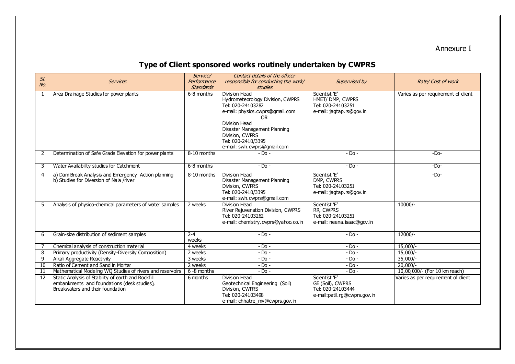Annexure I

# **Type of Client sponsored works routinely undertaken by CWPRS**

| SI.            |                                                                                                                                       | Service/                        | Contact details of the officer                                                                                                                                                                                                                  |                                                                                        |                                     |
|----------------|---------------------------------------------------------------------------------------------------------------------------------------|---------------------------------|-------------------------------------------------------------------------------------------------------------------------------------------------------------------------------------------------------------------------------------------------|----------------------------------------------------------------------------------------|-------------------------------------|
| No.            | <b>Services</b>                                                                                                                       | Performance<br><b>Standards</b> | responsible for conducting the work/<br><b>studies</b>                                                                                                                                                                                          | Supervised by                                                                          | Rate/Cost of work                   |
| -1             | Area Drainage Studies for power plants                                                                                                | 6-8 months                      | Division Head<br>Hydrometeorology Division, CWPRS<br>Tel: 020-24103282<br>e-mail: physics.cwprs@gmail.com<br><b>OR</b><br>Division Head<br>Disaster Management Planning<br>Division, CWPRS<br>Tel: 020-2410/3395<br>e-mail: swh.cwprs@gmail.com | Scientist 'E'<br>HMET/ DMP, CWPRS<br>Tel: 020-24103251<br>e-mail: jagtap.rs@gov.in     | Varies as per requirement of client |
| 2              | Determination of Safe Grade Elevation for power plants                                                                                | 8-10 months                     | $-$ Do $-$                                                                                                                                                                                                                                      | $-$ Do $-$                                                                             | $-Do-$                              |
| 3              | Water Availability studies for Catchment                                                                                              | 6-8 months                      | $-$ Do $-$                                                                                                                                                                                                                                      | $-$ Do $-$                                                                             | $-Do-$                              |
| $\overline{4}$ | a) Dam Break Analysis and Emergency Action planning<br>b) Studies for Diversion of Nala /river                                        | 8-10 months                     | Division Head<br>Disaster Management Planning<br>Division, CWPRS<br>Tel: 020-2410/3395<br>e-mail: swh.cwprs@gmail.com                                                                                                                           | Scientist 'E'<br>DMP, CWPRS<br>Tel: 020-24103251<br>e-mail: jagtap.rs@gov.in           | $-Do-$                              |
| .5             | Analysis of physico-chemical parameters of water samples                                                                              | 2 weeks                         | Division Head<br>River Rejuvenation Division, CWPRS<br>Tel: 020-24103262<br>e-mail: chemistry.cwprs@yahoo.co.in                                                                                                                                 | Scientist 'E'<br>RR, CWPRS<br>Tel: 020-24103251<br>e-mail: neena.isaac@gov.in          | 10000/-                             |
| 6              | Grain-size distribution of sediment samples                                                                                           | $2 - 4$<br>weeks                | $-$ Do $-$                                                                                                                                                                                                                                      | $-$ Do $-$                                                                             | $12000/-$                           |
| 7              | Chemical analysis of construction material                                                                                            | 4 weeks                         | $-$ Do $-$                                                                                                                                                                                                                                      | $-DO$ -                                                                                | $15,000$ /-                         |
| 8              | Primary productivity (Density-Diversity Composition)                                                                                  | 2 weeks                         | $-$ Do $-$                                                                                                                                                                                                                                      | $-$ Do $-$                                                                             | $15,000/-$                          |
| 9              | Alkali Aggregate Reactivity                                                                                                           | 3 weeks                         | $-$ Do $-$                                                                                                                                                                                                                                      | $-$ Do $-$                                                                             | $35,000/-$                          |
| 10             | Ratio of Cement and Sand in Mortar                                                                                                    | 2 weeks                         | $-$ Do $-$                                                                                                                                                                                                                                      | $-$ Do $-$                                                                             | $20,000/-$                          |
| -11            | Mathematical Modeling WO Studies of rivers and reservoirs                                                                             | 6 -8 months                     | $-$ Do $-$                                                                                                                                                                                                                                      | $-$ Do $-$                                                                             | 10,00,000/- (For 10 km reach)       |
| 12             | Static Analysis of Stability of earth and Rockfill<br>embankments and foundations (desk studies),<br>Breakwaters and their foundation | 6 months                        | Division Head<br>Geotechnical Engineering (Soil)<br>Division, CWPRS<br>Tel: 020-24103498<br>e-mail: chhatre mv@cwprs.gov.in                                                                                                                     | Scientist 'E'<br>GE (Soil), CWPRS<br>Tel: 020-24103444<br>e-mail:patil.rg@cwprs.gov.in | Varies as per requirement of client |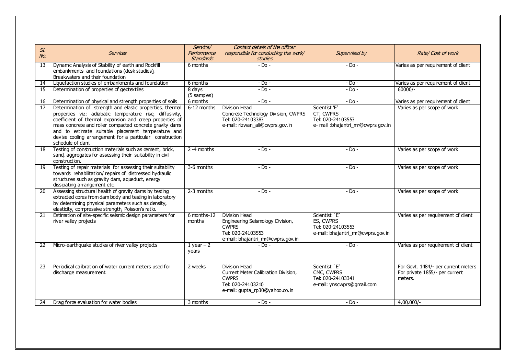|                 |                                                                                                                                                                                                                                                                                                                                                                                     | Service/               | Contact details of the officer                                                                                                     |                                                                                        |                                                                                  |
|-----------------|-------------------------------------------------------------------------------------------------------------------------------------------------------------------------------------------------------------------------------------------------------------------------------------------------------------------------------------------------------------------------------------|------------------------|------------------------------------------------------------------------------------------------------------------------------------|----------------------------------------------------------------------------------------|----------------------------------------------------------------------------------|
| SI.             | <b>Services</b>                                                                                                                                                                                                                                                                                                                                                                     | Performance            | responsible for conducting the work/                                                                                               | Supervised by                                                                          | Rate/Cost of work                                                                |
| No.             |                                                                                                                                                                                                                                                                                                                                                                                     | <b>Standards</b>       | <i>studies</i>                                                                                                                     |                                                                                        |                                                                                  |
| 13              | Dynamic Analysis of Stability of earth and Rockfill<br>embankments and foundations (desk studies),<br>Breakwaters and their foundation                                                                                                                                                                                                                                              | 6 months               | $-Do -$                                                                                                                            | $-$ Do $-$                                                                             | Varies as per requirement of client                                              |
| $\overline{14}$ | Liquefaction studies of embankments and foundation                                                                                                                                                                                                                                                                                                                                  | 6 months               | $-$ Do $-$                                                                                                                         | $-$ Do $-$                                                                             | Varies as per requirement of client                                              |
| 15              | Determination of properties of geotextiles                                                                                                                                                                                                                                                                                                                                          | 8 days<br>(5 samples)  | $-Dn -$                                                                                                                            | $-$ Do $-$                                                                             | $60000/-$                                                                        |
| 16              | Determination of physical and strength properties of soils                                                                                                                                                                                                                                                                                                                          | 6 months               | $-Do -$                                                                                                                            | $-$ Do $-$                                                                             | Varies as per requirement of client                                              |
| 17              | Determination of strength and elastic properties, thermal<br>properties viz: adiabatic temperature rise, diffusivity,<br>coefficient of thermal expansion and creep properties of<br>mass concrete and roller compacted concrete gravity dams<br>and to estimate suitable placement temperature and<br>devise cooling arrangement for a particular construction<br>schedule of dam. | 6-12 months            | <b>Division Head</b><br>Concrete Technology Division, CWPRS<br>Tel: 020-24103383<br>e-mail: rizwan_ali@cwprs.gov.in                | Scientist 'E'<br>CT, CWPRS<br>Tel: 020-24103553<br>e- mail : bhajantri_mr@cwprs.gov.in | Varies as per scope of work                                                      |
| 18              | Testing of construction materials such as cement, brick,<br>sand, aggregates for assessing their suitability in civil<br>construction.                                                                                                                                                                                                                                              | $2 - 4$ months         | $-$ Do $-$                                                                                                                         | $-$ Do $-$                                                                             | Varies as per scope of work                                                      |
| 19              | Testing of repair materials for assessing their suitability<br>towards rehabilitation/ repairs of distressed hydraulic<br>structures such as gravity dam, aqueduct, energy<br>dissipating arrangement etc.                                                                                                                                                                          | 3-6 months             | $-Do -$                                                                                                                            | $-$ Do $-$                                                                             | Varies as per scope of work                                                      |
| 20              | Assessing structural health of gravity dams by testing<br>extracted cores from dam body and testing in laboratory<br>by determining physical parameters such as density,<br>elasticity, compressive strength, Poisson's ratio.                                                                                                                                                      | 2-3 months             | $-Do -$                                                                                                                            | $-$ Do $-$                                                                             | Varies as per scope of work                                                      |
| 21              | Estimation of site-specific seismic design parameters for<br>river valley projects                                                                                                                                                                                                                                                                                                  | 6 months-12<br>months  | <b>Division Head</b><br>Engineering Seismology Division,<br><b>CWPRS</b><br>Tel: 020-24103553<br>e-mail: bhajantri_mr@cwprs.gov.in | Scientist `E'<br>ES, CWPRS<br>Tel: 020-24103553<br>e-mail: bhajantri_mr@cwprs.gov.in   | Varies as per requirement of client                                              |
| 22              | Micro-earthquake studies of river valley projects                                                                                                                                                                                                                                                                                                                                   | $1$ year $-2$<br>years | $-$ Do $-$                                                                                                                         | $-Do -$                                                                                | Varies as per requirement of client                                              |
| 23              | Periodical calibration of water current meters used for<br>discharge measurement.                                                                                                                                                                                                                                                                                                   | 2 weeks                | Division Head<br>Current Meter Calibration Division,<br><b>CWPRS</b><br>Tel: 020-24103210<br>e-mail: qupta rp30@yahoo.co.in        | Scientist `E'<br>CMC, CWPRS<br>Tel: 020-24103341<br>e-mail: ynscwprs@gmail.com         | For Govt. 1484/- per current meters<br>For private 1855/- per current<br>meters. |
| 24 I            | Drag force evaluation for water bodies                                                                                                                                                                                                                                                                                                                                              | 3 months               | $-Do -$                                                                                                                            | $-Do -$                                                                                | $4,00,000/-$                                                                     |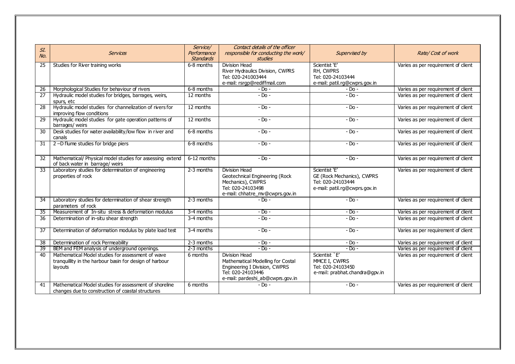|                 |                                                                                                                         | Service/         | Contact details of the officer                                                                                                               |                                                                                                   |                                     |
|-----------------|-------------------------------------------------------------------------------------------------------------------------|------------------|----------------------------------------------------------------------------------------------------------------------------------------------|---------------------------------------------------------------------------------------------------|-------------------------------------|
| SI.             | <b>Services</b>                                                                                                         | Performance      | responsible for conducting the work/                                                                                                         | Supervised by                                                                                     | Rate/Cost of work                   |
| NQ.             |                                                                                                                         | <b>Standards</b> | studies                                                                                                                                      |                                                                                                   |                                     |
| 25              | Studies for River training works                                                                                        | 6-8 months       | <b>Division Head</b>                                                                                                                         | Scientist 'E'                                                                                     | Varies as per requirement of client |
|                 |                                                                                                                         |                  | River Hydraulics Division, CWPRS                                                                                                             | RH, CWPRS                                                                                         |                                     |
|                 |                                                                                                                         |                  | Tel: 020-241003444                                                                                                                           | Tel: 020-24103444                                                                                 |                                     |
|                 |                                                                                                                         |                  | e-mail: rsrgp@rediffmail.com                                                                                                                 | e-mail: patil.rg@cwprs.gov.in                                                                     |                                     |
| 26              | Morphological Studies for behaviour of rivers                                                                           | 6-8 months       | $-$ Do $-$                                                                                                                                   | $-$ Do $-$                                                                                        | Varies as per requirement of client |
| $\overline{27}$ | Hydraulic model studies for bridges, barrages, weirs,<br>spurs, etc                                                     | 12 months        | $-$ Do $-$                                                                                                                                   | $-DO$ -                                                                                           | Varies as per requirement of client |
| $\overline{28}$ | Hydraulic model studies for channelization of rivers for<br>improving flow conditions                                   | 12 months        | $-DO$ -                                                                                                                                      | $-$ Do $-$                                                                                        | Varies as per requirement of client |
| $\overline{29}$ | Hydraulic model studies for gate operation patterns of<br>barrages/ weirs                                               | 12 months        | $-$ Do $-$                                                                                                                                   | $-$ Do $-$                                                                                        | Varies as per requirement of client |
| 30              | Desk studies for water availability/low flow in river and<br>canals                                                     | 6-8 months       | $-DO$ -                                                                                                                                      | $-$ Do $-$                                                                                        | Varies as per requirement of client |
| $\overline{31}$ | 2-D flume studies for bridge piers                                                                                      | 6-8 months       | $-Do -$                                                                                                                                      | $-Do -$                                                                                           | Varies as per requirement of client |
| 32              | Mathematical/ Physical model studies for assessing extend<br>of back water in barrage/ weirs                            | 6-12 months      | $-Dn -$                                                                                                                                      | $-DO$ -                                                                                           | Varies as per requirement of client |
| 33              | Laboratory studies for determination of engineering<br>properties of rock                                               | $2-3$ months     | Division Head<br>Geotechnical Engineering (Rock<br>Mechanics), CWPRS<br>Tel: 020-24103498<br>e-mail: chhatre_mv@cwprs.gov.in                 | Scientist 'E'<br>GE (Rock Mechanics), CWPRS<br>Tel: 020-24103444<br>e-mail: patil.rg@cwprs.gov.in | Varies as per requirement of client |
| 34              | Laboratory studies for determination of shear strength<br>parameters of rock                                            | 2-3 months       | $-D0$ -                                                                                                                                      | $-D0$ -                                                                                           | Varies as per requirement of client |
| 35              | Measurement of In-situ stress & deformation modulus                                                                     | 3-4 months       | $-Do -$                                                                                                                                      | $-$ Do $-$                                                                                        | Varies as per requirement of client |
| 36              | Determination of in-situ shear strength                                                                                 | 3-4 months       | $-$ Do $-$                                                                                                                                   | $-D0$ -                                                                                           | Varies as per requirement of client |
| 37              | Determination of deformation modulus by plate load test                                                                 | 3-4 months       | $-Do -$                                                                                                                                      | $-Do -$                                                                                           | Varies as per requirement of client |
| 38              | Determination of rock Permeability                                                                                      | 2-3 months       | $-DO$ -                                                                                                                                      | $-$ Do $-$                                                                                        | Varies as per requirement of client |
| 39              | BEM and FEM analysis of underground openings.                                                                           | 2-3 months       | $-Do -$                                                                                                                                      | $-Do -$                                                                                           | Varies as per requirement of client |
| 40              | Mathematical Model studies for assessment of wave<br>tranquillity in the harbour basin for design of harbour<br>layouts | 6 months         | Division Head<br>Mathematical Modelling for Costal<br>Engineering I Division, CWPRS<br>Tel: 020-24103446<br>e-mail: pardeshi_ab@cwprs.gov.in | Scientist `E'<br>MMCE I, CWPRS<br>Tel: 020-24103450<br>e-mail: prabhat.chandra@gpv.in             | Varies as per requirement of client |
| 41              | Mathematical Model studies for assessment of shoreline<br>changes due to construction of coastal structures             | 6 months         | $-D0$ -                                                                                                                                      | $-DO$ -                                                                                           | Varies as per requirement of client |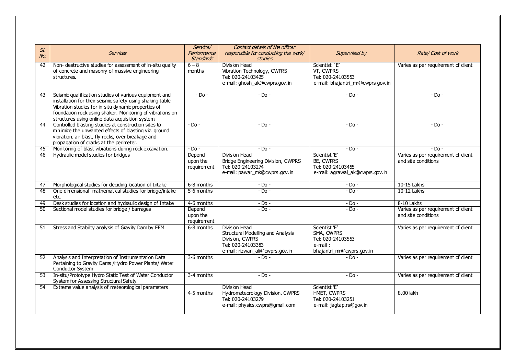|                 |                                                            | Service/         | Contact details of the officer                          |                                   |                                     |
|-----------------|------------------------------------------------------------|------------------|---------------------------------------------------------|-----------------------------------|-------------------------------------|
| SI.             | <b>Services</b>                                            | Performance      | responsible for conducting the work/                    | Supervised by                     | Rate/Cost of work                   |
| No.             |                                                            | <b>Standards</b> | <i>studies</i>                                          |                                   |                                     |
| 42              | Non- destructive studies for assessment of in-situ quality | $6 - 8$          | <b>Division Head</b>                                    | Scientist `E'                     | Varies as per requirement of client |
|                 | of concrete and masonry of massive engineering             | months           | Vibration Technology, CWPRS                             | VT, CWPRS                         |                                     |
|                 | structures.                                                |                  | Tel: 020-24103425                                       | Tel: 020-24103553                 |                                     |
|                 |                                                            |                  | e-mail: ghosh_ak@cwprs.gov.in                           | e-mail: bhajantri_mr@cwprs.gov.in |                                     |
|                 |                                                            |                  |                                                         |                                   |                                     |
| 43              | Seismic qualification studies of various equipment and     | $-$ Do $-$       | $-Do -$                                                 | $-$ Do $-$                        | $-$ Do $-$                          |
|                 | installation for their seismic safety using shaking table. |                  |                                                         |                                   |                                     |
|                 | Vibration studies for in-situ dynamic properties of        |                  |                                                         |                                   |                                     |
|                 | foundation rock using shaker. Monitoring of vibrations on  |                  |                                                         |                                   |                                     |
|                 | structures using online data acquisition system.           |                  |                                                         |                                   |                                     |
| 44              | Controlled blasting studies at construction sites to       | $-$ Do $-$       | $-Do -$                                                 | $-$ Do $-$                        | $-D0$ -                             |
|                 | minimize the unwanted effects of blasting viz. ground      |                  |                                                         |                                   |                                     |
|                 | vibration, air blast, fly rocks, over breakage and         |                  |                                                         |                                   |                                     |
|                 | propagation of cracks at the perimeter.                    |                  |                                                         |                                   |                                     |
| 45              | Monitoring of blast vibrations during rock excavation.     | $-$ Do $-$       | $-Do -$                                                 | $-Do -$                           | $-D0$ -                             |
| 46              | Hydraulic model studies for bridges                        | Depend           | <b>Division Head</b>                                    | Scientist 'E'                     | Varies as per requirement of client |
|                 |                                                            | upon the         | Bridge Engineering Division, CWPRS<br>Tel: 020-24103274 | BE, CWPRS<br>Tel: 020-24103455    | and site conditions                 |
|                 |                                                            | requirement      | e-mail: pawar_mk@cwprs.gov.in                           | e-mail: agrawal_ak@cwprs.gov.in   |                                     |
|                 |                                                            |                  |                                                         |                                   |                                     |
| 47              | Morphological studies for deciding location of Intake      | 6-8 months       | $-$ Do $-$                                              | $-$ Do $-$                        | 10-15 Lakhs                         |
| 48              | One dimensional mathematical studies for bridge/intake     | 5-6 months       | $-Do -$                                                 | $-Do -$                           | 10-12 Lakhs                         |
|                 | etc.                                                       |                  |                                                         |                                   |                                     |
| 49              | Desk studies for location and hydraulic design of Intake   | 4-6 months       | $-DO$ -                                                 | - Do -                            | 8-10 Lakhs                          |
| 50              | Sectional model studies for bridge / barrages              | Depend           | $-$ Do $-$                                              | $-$ Do $-$                        | Varies as per requirement of client |
|                 |                                                            | upon the         |                                                         |                                   | and site conditions                 |
|                 |                                                            | requirement      |                                                         |                                   |                                     |
| 51              | Stress and Stability analysis of Gravity Dam by FEM        | 6-8 months       | <b>Division Head</b>                                    | Scientist 'E'                     | Varies as per requirement of client |
|                 |                                                            |                  | <b>Structural Modelling and Analysis</b>                | SMA, CWPRS                        |                                     |
|                 |                                                            |                  | Division, CWPRS<br>Tel: 020-24103383                    | Tel: 020-24103553<br>e-mail:      |                                     |
|                 |                                                            |                  | e-mail: rizwan_ali@cwprs.gov.in                         | bhajantri_mr@cwprs.gov.in         |                                     |
| 52              | Analysis and Interpretation of Instrumentation Data        | 3-6 months       | $-D0$ -                                                 | $-D0$ -                           | Varies as per requirement of client |
|                 | Pertaining to Gravity Dams / Hydro Power Plants/ Water     |                  |                                                         |                                   |                                     |
|                 | Conductor System                                           |                  |                                                         |                                   |                                     |
| $\overline{53}$ | In-situ/Prototype Hydro Static Test of Water Conductor     | 3-4 months       | $-Do -$                                                 | $-$ Do $-$                        | Varies as per requirement of client |
|                 | System for Assessing Structural Safety.                    |                  |                                                         |                                   |                                     |
| 54              | Extreme value analysis of meteorological parameters        |                  | Division Head                                           | Scientist 'E'                     |                                     |
|                 |                                                            | 4-5 months       | Hydrometeorology Division, CWPRS                        | HMET, CWPRS                       | 8.00 lakh                           |
|                 |                                                            |                  | Tel: 020-24103279                                       | Tel: 020-24103251                 |                                     |
|                 |                                                            |                  | e-mail: physics.cwprs@gmail.com                         | e-mail: jagtap.rs@gov.in          |                                     |
|                 |                                                            |                  |                                                         |                                   |                                     |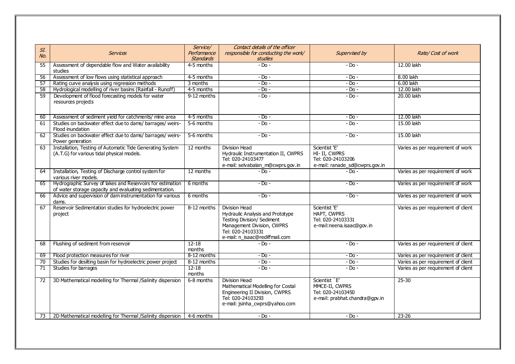|                 |                                                                                                                       | Service/            | Contact details of the officer                                                                                                                                                     |                                                                                        |                                     |
|-----------------|-----------------------------------------------------------------------------------------------------------------------|---------------------|------------------------------------------------------------------------------------------------------------------------------------------------------------------------------------|----------------------------------------------------------------------------------------|-------------------------------------|
| SI.             | <b>Services</b>                                                                                                       | Performance         | responsible for conducting the work/                                                                                                                                               | Supervised by                                                                          | Rate/Cost of work                   |
| No.             |                                                                                                                       | <b>Standards</b>    | <i>studies</i>                                                                                                                                                                     |                                                                                        |                                     |
| 55              | Assessment of dependable flow and Water availability<br>studies                                                       | 4-5 months          | $-$ Do $-$                                                                                                                                                                         | $-$ Do $-$                                                                             | 12.00 lakh                          |
| 56              | Assessment of low flows using statistical approach                                                                    | 4-5 months          | $-Do -$                                                                                                                                                                            | $-$ Do $-$                                                                             | 8.00 lakh                           |
| 57              | Rating curve analysis using regression methods                                                                        | 3 months            | $-D0$ -                                                                                                                                                                            | $-$ Do $-$                                                                             | 6.00 lakh                           |
| 58              | Hydrological modelling of river basins (Rainfall - Runoff)                                                            | 4-5 months          | $-$ Do $-$                                                                                                                                                                         | $-$ Do $-$                                                                             | 12.00 lakh                          |
| $\overline{59}$ | Development of flood forecasting models for water<br>resources projects                                               | 9-12 months         | $-$ Do $-$                                                                                                                                                                         | $-$ Do $-$                                                                             | 20.00 lakh                          |
| 60              | Assessment of sediment yield for catchments/ mine area                                                                | 4-5 months          | $-$ Do $-$                                                                                                                                                                         | $-$ Do $-$                                                                             | 12.00 lakh                          |
| 61              | Studies on backwater effect due to dams/ barrages/ weirs-<br>Flood inundation                                         | 5-6 months          | $-D0$ -                                                                                                                                                                            | $-D0$ -                                                                                | 15.00 lakh                          |
| 62              | Studies on backwater effect due to dams/ barrages/ weirs-<br>Power generation                                         | 5-6 months          | $-Do -$                                                                                                                                                                            | $-Do -$                                                                                | 15.00 lakh                          |
| 63              | Installation, Testing of Automatic Tide Generating System<br>(A.T.G) for various tidal physical models.               | 12 months           | <b>Division Head</b><br>Hydraulic Instrumentation II, CWPRS<br>Tel: 020-24103477<br>e-mail: selvabalan_m@cwprs.gov.in                                                              | Scientist 'E'<br>HI- II, CWPRS<br>Tel: 020-24103206<br>e-mail: ranade_sd@cwprs.gov.in  | Varies as per requirement of work   |
| 64              | Installation, Testing of Discharge control system for<br>various river models.                                        | 12 months           | - Do -                                                                                                                                                                             | - Do -                                                                                 | Varies as per requirement of work   |
| 65              | Hydrographic Survey of lakes and Reservoirs for estimation<br>of water storage capacity and evaluating sedimentation. | 6 months            | $-D0$                                                                                                                                                                              | - Do -                                                                                 | Varies as per requirement of work   |
| 66              | Advice and supervision of dam instrumentation for various<br>dams.                                                    | 6 months            | $-Do -$                                                                                                                                                                            | $-DO$ -                                                                                | Varies as per requirement of work   |
| 67              | Reservoir Sedimentation studies for hydroelectric power<br>project                                                    | 8-12 months         | <b>Division Head</b><br>Hydraulic Analysis and Prototype<br><b>Testing Division/ Sediment</b><br>Management Division, CWPRS<br>Tel: 020-24103331<br>e-mail: n_isaac@rediffmail.com | Scientist 'E'<br>HAPT, CWPRS<br>Tel: 020-24103331<br>e-mail: neena. isaac@gov. in      | Varies as per requirement of client |
| 68              | Flushing of sediment from reservoir                                                                                   | $12 - 18$<br>months | - Do -                                                                                                                                                                             | $-$ Do $-$                                                                             | Varies as per requirement of client |
| 69              | Flood protection measures for river                                                                                   | 8-12 months         | $-Do -$                                                                                                                                                                            | $-$ Do $-$                                                                             | Varies as per requirement of client |
| $\overline{70}$ | Studies for desilting basin for hydroelectric power project                                                           | 8-12 months         | $-$ Do $-$                                                                                                                                                                         | $-$ Do $-$                                                                             | Varies as per requirement of client |
| 71              | Studies for barrages                                                                                                  | $12 - 18$<br>months | $-Do -$                                                                                                                                                                            | $-D0$ -                                                                                | Varies as per requirement of client |
| 72              | 3D Mathematical modelling for Thermal /Salinity dispersion                                                            | 6-8 months          | Division Head<br>Mathematical Modelling for Costal<br>Engineering II Division, CWPRS<br>Tel: 020-24103293<br>e-mail: jsinha_cwprs@yahoo.com                                        | Scientist `E'<br>MMCE-II, CWPRS<br>Tel: 020-24103450<br>e-mail: prabhat.chandra@gpv.in | $25 - 30$                           |
| 73              | 2D Mathematical modelling for Thermal / Salinity dispersion                                                           | 4-6 months          | $-$ Do $-$                                                                                                                                                                         | $-$ Do $-$                                                                             | $23 - 26$                           |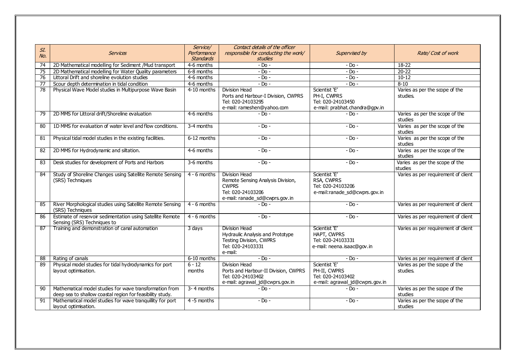|                 |                                                                                                                      | Service/           | Contact details of the officer                                                                                            |                                                                                       |                                            |
|-----------------|----------------------------------------------------------------------------------------------------------------------|--------------------|---------------------------------------------------------------------------------------------------------------------------|---------------------------------------------------------------------------------------|--------------------------------------------|
| SI.             | <b>Services</b>                                                                                                      | Performance        | responsible for conducting the work/                                                                                      | Supervised by                                                                         |                                            |
| No.             |                                                                                                                      | <b>Standards</b>   | <b>studies</b>                                                                                                            |                                                                                       | Rate/Cost of work                          |
| 74              | 2D Mathematical modelling for Sediment /Mud transport                                                                | 4-6 months         | $-$ Do $-$                                                                                                                | $-$ Do $-$                                                                            | $18 - 22$                                  |
| 75              | 2D Mathematical modelling for Water Quality parameters                                                               | 6-8 months         | $-Do -$                                                                                                                   | $-$ Do $-$                                                                            | $20 - 22$                                  |
| 76              | Littoral Drift and shoreline evolution studies                                                                       | 4-6 months         | $-$ Do $-$                                                                                                                | $-$ Do $-$                                                                            | $10-12$                                    |
| 77              | Scour depth determination in tidal condition                                                                         | 4-6 months         | $-$ Do $-$                                                                                                                | $-$ Do $-$                                                                            | $8 - 10$                                   |
| 78              | Physical Wave Model studies in Multipurpose Wave Basin                                                               | 4-10 months        | Division Head<br>Ports and Harbour-I Division, CWPRS<br>Tel: 020-24103295<br>e-mail: rameshen@yahoo.com                   | Scientist 'E'<br>PH-I, CWPRS<br>Tel: 020-24103450<br>e-mail: prabhat.chandra@gpv.in   | Varies as per the scope of the<br>studies. |
| 79              | 2D MMS for Littoral drift/Shoreline evaluation                                                                       | 4-6 months         | - Do -                                                                                                                    | $-Dn -$                                                                               | Varies as per the scope of the<br>studies  |
| 80              | 1D MMS for evaluation of water level and flow conditions.                                                            | 3-4 months         | $-DO$ -                                                                                                                   | $-$ Do $-$                                                                            | Varies as per the scope of the<br>studies  |
| 81              | Physical tidal model studies in the existing facilities.                                                             | 6-12 months        | $-$ Do $-$                                                                                                                | $-$ Do $-$                                                                            | Varies as per the scope of the<br>studies  |
| 82              | 2D MMS for Hydrodynamic and siltation.                                                                               | 4-6 months         | $-$ Do $-$                                                                                                                | $-$ Do $-$                                                                            | Varies as per the scope of the<br>studies  |
| 83              | Desk studies for development of Ports and Harbors                                                                    | 3-6 months         | $-$ Do $-$                                                                                                                | $-$ Do $-$                                                                            | Varies as per the scope of the<br>studies  |
| 84              | Study of Shoreline Changes using Satellite Remote Sensing<br>(SRS) Techniques                                        | $4 - 6$ months     | Division Head<br>Remote Sensing Analysis Division,<br><b>CWPRS</b><br>Tel: 020-24103206<br>e-mail: ranade sd@cwprs.gov.in | Scientist 'E'<br>RSA, CWPRS<br>Tel: 020-24103206<br>e-mail:ranade_sd@cwprs.gov.in     | Varies as per requirement of client        |
| 85              | River Morphological studies using Satellite Remote Sensing<br>(SRS) Techniques                                       | $4 - 6$ months     | - Do -                                                                                                                    | $-Do -$                                                                               | Varies as per requirement of client        |
| $\overline{86}$ | Estimate of reservoir sedimentation using Satellite Remote<br>Sensing (SRS) Techniques to                            | $4 - 6$ months     | $-Do -$                                                                                                                   | $-$ Do $-$                                                                            | Varies as per requirement of client        |
| 87              | Training and demonstration of canal automation                                                                       | 3 days             | Division Head<br>Hydraulic Analysis and Prototype<br>Testing Division, CWPRS<br>Tel: 020-24103331<br>e-mail:              | Scientist 'E'<br>HAPT, CWPRS<br>Tel: 020-24103331<br>e-mail: neena.isaac@gov.in       | Varies as per requirement of client        |
| 88              | Rating of canals                                                                                                     | 6-10 months        | $-D0$ -                                                                                                                   | $-Do -$                                                                               | Varies as per requirement of client        |
| 89              | Physical model studies for tidal hydrodynamics for port<br>layout optimisation.                                      | $6 - 12$<br>months | Division Head<br>Ports and Harbour-II Division, CWPRS<br>Tel: 020-24103402<br>e-mail: agrawal_jd@cwprs.gov.in             | Scientist 'E'<br>PH-II, CWPRS<br>Tel: 020-24103402<br>e-mail: agrawal_jd@cwprs.gov.in | Varies as per the scope of the<br>studies. |
| 90              | Mathematical model studies for wave transformation from<br>deep sea to shallow coastal region for feasibility study. | 3-4 months         | - Do -                                                                                                                    | $-D0$ -                                                                               | Varies as per the scope of the<br>studies  |
| 91              | Mathematical model studies for wave tranquillity for port<br>layout optimisation.                                    | 4 -5 months        | - Do -                                                                                                                    | $-$ Do $-$                                                                            | Varies as per the scope of the<br>studies  |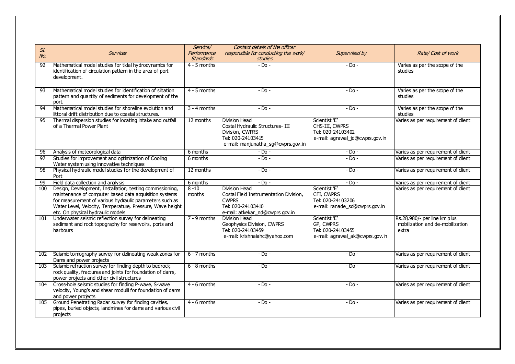| SI.<br>NQ.      | <b>Services</b>                                                                                                                                                                                                                                                                  | Service/<br>Performance<br><b>Standards</b> | Contact details of the officer<br>responsible for conducting the work/<br>studies                                                      | Supervised by                                                                           | Rate/Cost of work                                                         |
|-----------------|----------------------------------------------------------------------------------------------------------------------------------------------------------------------------------------------------------------------------------------------------------------------------------|---------------------------------------------|----------------------------------------------------------------------------------------------------------------------------------------|-----------------------------------------------------------------------------------------|---------------------------------------------------------------------------|
| $\overline{92}$ | Mathematical model studies for tidal hydrodynamics for<br>identification of circulation pattern in the area of port<br>development.                                                                                                                                              | $4 - 5$ months                              | $-Do -$                                                                                                                                | $-$ Do $-$                                                                              | Varies as per the scope of the<br>studies                                 |
| 93              | Mathematical model studies for identification of siltation<br>pattern and quantity of sediments for development of the<br>port.                                                                                                                                                  | $4 - 5$ months                              | $-DO$ -                                                                                                                                | $-$ Do $-$                                                                              | Varies as per the scope of the<br>studies                                 |
| $\overline{94}$ | Mathematical model studies for shoreline evolution and<br>littoral drift distribution due to coastal structures.                                                                                                                                                                 | $3 - 4$ months                              | $-$ Do $-$                                                                                                                             | $-$ Do $-$                                                                              | Varies as per the scope of the<br>studies                                 |
| 95              | Thermal dispersion studies for locating intake and outfall<br>of a Thermal Power Plant                                                                                                                                                                                           | 12 months                                   | Division Head<br>Costal Hydraulic Structures-III<br>Division, CWPRS<br>Tel: 020-24103415<br>e-mail: manjunatha_sg@cwprs.gov.in         | Scientist 'E'<br>CHS-III, CWPRS<br>Tel: 020-24103402<br>e-mail: agrawal_jd@cwprs.gov.in | Varies as per requirement of client                                       |
| 96              | Analysis of meteorological data                                                                                                                                                                                                                                                  | 6 months                                    | $-$ Do $-$                                                                                                                             | $-$ Do $-$                                                                              | Varies as per requirement of client                                       |
| $\overline{97}$ | Studies for improvement and optimization of Cooling<br>Water system using innovative techniques                                                                                                                                                                                  | 6 months                                    | $-$ Do $-$                                                                                                                             | $-$ Do $-$                                                                              | Varies as per requirement of client                                       |
| $\overline{98}$ | Physical hydraulic model studies for the development of<br>Port                                                                                                                                                                                                                  | 12 months                                   | $-DO$ -                                                                                                                                | $-$ Do $-$                                                                              | Varies as per requirement of client                                       |
| 99              | Field data collection and analysis                                                                                                                                                                                                                                               | 6 months                                    | $-$ Do $-$                                                                                                                             | $-$ Do $-$                                                                              | Varies as per requirement of client                                       |
| 100             | Design, Development, Installation, testing commissioning,<br>maintenance of computer based data acquisition systems<br>for measurement of various hydraulic parameters such as<br>Water Level, Velocity, Temperature, Pressure, Wave height<br>etc. On physical hydraulic models | $8 - 10$<br>months                          | <b>Division Head</b><br>Costal Field Instrumentation Division,<br><b>CWPRS</b><br>Tel: 020-24103410<br>e-mail: atkekar_nd@cwprs.gov.in | Scientist 'E'<br>CFI. CWPRS<br>Tel: 020-24103206<br>e-mail: ranade_sd@cwprs.gov.in      | Varies as per requirement of client                                       |
| 101             | Underwater seismic reflection survey for delineating<br>sediment and rock topography for reservoirs, ports and<br>harbours                                                                                                                                                       | $7 - 9$ months                              | <b>Division Head</b><br>Geophysics Division, CWPRS<br>Tel: 020-24103459<br>e-mail: krishnaiahc@yahoo.com                               | Scientist 'E'<br>GP, CWPRS<br>Tel: 020-24103455<br>e-mail: agrawal_ak@cwprs.gov.in      | Rs.28,980/- per line km plus<br>mobilization and de-mobilization<br>extra |
| 102             | Seismic tomography survey for delineating weak zones for<br>Dams and power projects                                                                                                                                                                                              | $6 - 7$ months                              | $-$ Do $-$                                                                                                                             | $-$ Do $-$                                                                              | Varies as per requirement of client                                       |
| 103             | Seismic refraction survey for finding depth to bedrock,<br>rock quality, fractures and joints for foundation of dams,<br>power projects and other civil structures                                                                                                               | $6 - 8$ months                              | $-Do -$                                                                                                                                | $-$ Do $-$                                                                              | Varies as per requirement of client                                       |
| 104             | Cross-hole seismic studies for finding P-wave, S-wave<br>velocity, Young's and shear modulii for foundation of dams<br>and power projects                                                                                                                                        | $4 - 6$ months                              | $-$ Do $-$                                                                                                                             | $-$ Do $-$                                                                              | Varies as per requirement of client                                       |
| 105             | Ground Penetrating Radar survey for finding cavities,<br>pipes, buried objects, landmines for dams and various civil                                                                                                                                                             | $4 - 6$ months                              | $-$ Do $-$                                                                                                                             | $-$ Do $-$                                                                              | Varies as per requirement of client                                       |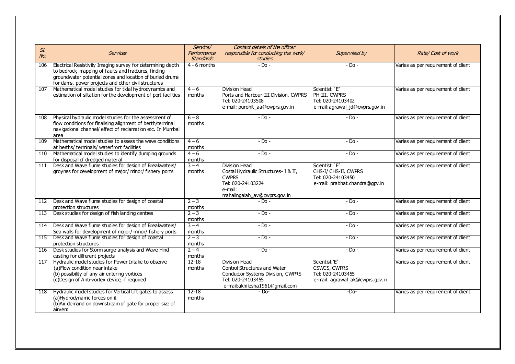| SI.   | <b>Services</b>                                                                                                                                                                                                                        | Service/<br>Performance | Contact details of the officer<br>responsible for conducting the work/                                                                    | Supervised by                                                                                | Rate/Cost of work                   |
|-------|----------------------------------------------------------------------------------------------------------------------------------------------------------------------------------------------------------------------------------------|-------------------------|-------------------------------------------------------------------------------------------------------------------------------------------|----------------------------------------------------------------------------------------------|-------------------------------------|
| NQ.   |                                                                                                                                                                                                                                        | <b>Standards</b>        | <b>studies</b>                                                                                                                            |                                                                                              |                                     |
| 106   | Electrical Resistivity Imaging survey for determining depth<br>to bedrock, mapping of faults and fractures, finding<br>groundwater potential zones and location of buried drums<br>for dams, power projects and other civil structures | $4 - 6$ months          | $-Dn -$                                                                                                                                   | $-$ Do $-$                                                                                   | Varies as per requirement of client |
| 107   | Mathematical model studies for tidal hydrodynamics and<br>estimation of siltation for the development of port facilities                                                                                                               | $4 - 6$<br>months       | <b>Division Head</b><br>Ports and Harbour-III Division, CWPRS<br>Tel: 020-24103508<br>e-mail: purohit_aa@cwprs.gov.in                     | Scientist `E'<br>PH-III, CWPRS<br>Tel: 020-24103402<br>e-mail:agrawal_jd@cwprs.gov.in        | Varies as per requirement of client |
| 108   | Physical hydraulic model studies for the assessment of<br>flow conditions for finalising alignment of berth/terminal<br>navigational channel/ effect of reclamation etc. In Mumbai<br>area                                             | $6 - 8$<br>months       | $-$ Do $-$                                                                                                                                | $-$ Do $-$                                                                                   | Varies as per requirement of client |
| 109   | Mathematical model studies to assess the wave conditions<br>at berths/ terminals/ waterfront facilities                                                                                                                                | $4 - 6$<br>months       | $-Do -$                                                                                                                                   | $-Do -$                                                                                      | Varies as per requirement of client |
| 110   | Mathematical model studies to identify dumping grounds<br>for disposal of dredged material                                                                                                                                             | $4 - 6$<br>months       | $-Do -$                                                                                                                                   | $-$ Do $-$                                                                                   | Varies as per requirement of client |
| 111   | Desk and Wave flume studies for design of Breakwaters/<br>groynes for development of major/ minor/ fishery ports                                                                                                                       | $3 - 4$<br>months       | Division Head<br>Costal Hydraulic Structures- I & II,<br><b>CWPRS</b><br>Tel: 020-24103224<br>e-mail:<br>mahalingaiah_av@cwprs.gov.in     | Scientist `E'<br>CHS-I/ CHS-II, CWPRS<br>Tel: 020-24103450<br>e-mail: prabhat.chandra@gpv.in | Varies as per requirement of client |
| 112 I | Desk and Wave flume studies for design of coastal<br>protection structures                                                                                                                                                             | $2 - 3$<br>months       | $-$ Do $-$                                                                                                                                | $-$ Do $-$                                                                                   | Varies as per requirement of client |
| 113   | Desk studies for design of fish landing centres                                                                                                                                                                                        | $2 - 3$<br>months       | $-$ Do $-$                                                                                                                                | - Do -                                                                                       | Varies as per requirement of client |
| 114   | Desk and Wave flume studies for design of Breakwaters/<br>Sea walls for development of major/minor/fishery ports                                                                                                                       | $3 - 4$<br>months       | $-Do -$                                                                                                                                   | $-$ Do $-$                                                                                   | Varies as per requirement of client |
| 115   | Desk and Wave flume studies for design of coastal<br>protection structures                                                                                                                                                             | $2 - 3$<br>months       | $-Do -$                                                                                                                                   | $-$ Do $-$                                                                                   | Varies as per requirement of client |
| 116   | Desk studies for Storm surge analysis and Wave Hind<br>casting for different projects                                                                                                                                                  | $2 - 4$<br>months       | $-Do -$                                                                                                                                   | $-$ Do $-$                                                                                   | Varies as per requirement of client |
| 117   | Hydraulic model studies for Power Intake to observe<br>(a) Flow condition near intake<br>(b) possibility of any air entering vortices<br>(c) Design of Anti-vortex device, if required                                                 | $12 - 18$<br>months     | Division Head<br>Control Structures and Water<br>Conductor Systems Division, CWPRS<br>Tel: 020-24103455<br>e-mail:akhilesha1961@gmail.com | Scientist 'E'<br>CSWCS, CWPRS<br>Tel: 020-24103455<br>e-mail: agrawal_ak@cwprs.gov.in        | Varies as per requirement of client |
| 118   | Hydraulic model studies for Vertical Lift gates to assess<br>(a)Hydrodynamic forces on it<br>(b) Air demand on downstream of gate for proper size of<br>airvent                                                                        | $12 - 18$<br>months     | $-Do-$                                                                                                                                    | $-Do-$                                                                                       | Varies as per requirement of client |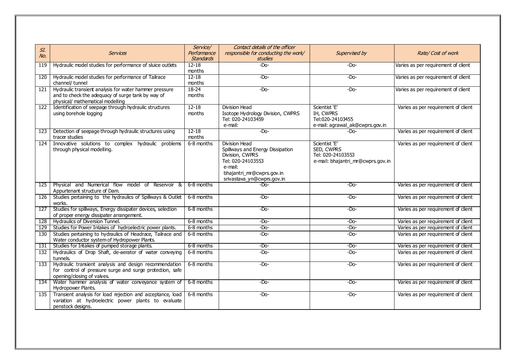|     |                                                             | Service/         | Contact details of the officer       |                                   |                                     |
|-----|-------------------------------------------------------------|------------------|--------------------------------------|-----------------------------------|-------------------------------------|
| SI. | <b>Services</b>                                             | Performance      | responsible for conducting the work/ | Supervised by                     | Rate/Cost of work                   |
| No. |                                                             | <b>Standards</b> | studies                              |                                   |                                     |
| 119 | Hydraulic model studies for performance of sluice outlets   | $12 - 18$        | $-Dn-$                               | $-Do-$                            | Varies as per requirement of client |
|     |                                                             | months           |                                      |                                   |                                     |
| 120 | Hydraulic model studies for performance of Tailrace         | $12 - 18$        | $-Do-$                               | $-Do-$                            | Varies as per requirement of client |
|     | channel/ tunnel                                             | months           |                                      |                                   |                                     |
| 121 | Hydraulic transient analysis for water hammer pressure      | $18 - 24$        | $-Do-$                               | $-Do-$                            | Varies as per requirement of client |
|     | and to check the adequacy of surge tank by way of           | months           |                                      |                                   |                                     |
|     | physical/ mathematical modelling                            |                  |                                      |                                   |                                     |
| 122 | Identification of seepage through hydraulic structures      | $12 - 18$        | Division Head                        | Scientist 'E'                     | Varies as per requirement of client |
|     | using borehole logging                                      | months           | Isotope Hydrology Division, CWPRS    | IH, CWPRS                         |                                     |
|     |                                                             |                  | Tel: 020-24103459                    | Tel:020-24103455                  |                                     |
|     |                                                             |                  | e-mail:                              | e-mail: agrawal_ak@cwprs.gov.in   |                                     |
| 123 | Detection of seepage through hydraulic structures using     | $12 - 18$        | $-Dn-$                               | -Do-                              | Varies as per requirement of client |
|     | tracer studies                                              | months           |                                      |                                   |                                     |
| 124 | Innovative solutions to complex hydraulic problems          | 6-8 months       | Division Head                        | Scientist 'E'                     | Varies as per requirement of client |
|     | through physical modelling.                                 |                  | Spillways and Energy Dissipation     | SED, CWPRS                        |                                     |
|     |                                                             |                  | Division, CWPRS                      | Tel: 020-24103553                 |                                     |
|     |                                                             |                  | Tel: 020-24103553<br>e-mail:         | e-mail: bhajantri_mr@cwprs.gov.in |                                     |
|     |                                                             |                  | bhajantri_mr@cwprs.gov.in            |                                   |                                     |
|     |                                                             |                  | srivastava_yn@cwprs.gov.in           |                                   |                                     |
| 125 | Physical and Numerical flow model of Reservoir &            | 6-8 months       | $-Do-$                               | $-Do-$                            | Varies as per requirement of client |
|     | Appurtenant structure of Dam.                               |                  |                                      |                                   |                                     |
| 126 | Studies pertaining to the hydraulics of Spillways & Outlet  | 6-8 months       | $-Do-$                               | $-Do-$                            | Varies as per requirement of client |
|     | works.                                                      |                  |                                      |                                   |                                     |
| 127 | Studies for spillways, Energy dissipater devices, selection | 6-8 months       | $-Do-$                               | $-Do-$                            | Varies as per requirement of client |
|     | of proper energy dissipater arrangement.                    |                  |                                      |                                   |                                     |
| 128 | Hydraulics of Diversion Tunnel.                             | 6-8 months       | $-Do-$                               | $-Do-$                            | Varies as per requirement of client |
| 129 | Studies for Power Intakes of hydroelectric power plants.    | 6-8 months       | $-Do-$                               | $-Do-$                            | Varies as per requirement of client |
| 130 | Studies pertaining to hydraulics of Headrace, Tailrace and  | 6-8 months       | $-Do-$                               | $-Do-$                            | Varies as per requirement of client |
|     | Water conductor system of Hydropower Plants.                |                  |                                      |                                   |                                     |
| 131 | Studies for Intakes of pumped storage plants.               | 6-8 months       | $-Do-$                               | $-Do-$                            | Varies as per requirement of client |
| 132 | Hydraulics of Drop Shaft, de-aerator of water conveying     | 6-8 months       | $-Do-$                               | $-Do-$                            | Varies as per requirement of client |
|     | tunnels.                                                    |                  |                                      |                                   |                                     |
| 133 | Hydraulic transient analysis and design recommendation      | 6-8 months       | $-Do-$                               | $-Do-$                            | Varies as per requirement of client |
|     | for control of pressure surge and surge protection, safe    |                  |                                      |                                   |                                     |
|     | opening/closing of valves.                                  |                  |                                      |                                   |                                     |
| 134 | Water hammer analysis of water conveyance system of         | 6-8 months       | $-Do-$                               | $-Do-$                            | Varies as per requirement of client |
|     | Hydropower Plants.                                          |                  |                                      |                                   |                                     |
| 135 | Transient analysis for load rejection and acceptance, load  | 6-8 months       | $-Do-$                               | $-Do-$                            | Varies as per requirement of client |
|     | variation at hydroelectric power plants to evaluate         |                  |                                      |                                   |                                     |
|     | penstock designs.                                           |                  |                                      |                                   |                                     |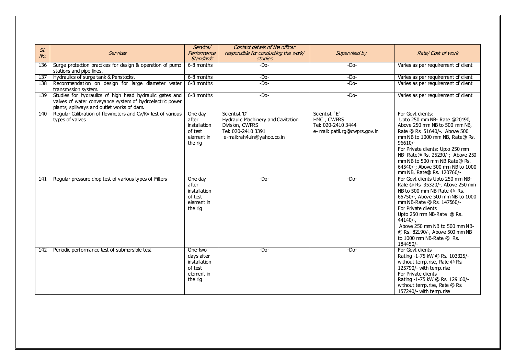| SI. |                                                                                                                                                                   | Service/                                                                  | Contact details of the officer                                                                                             |                                                                                     |                                                                                                                                                                                                                                                                                                                                                |
|-----|-------------------------------------------------------------------------------------------------------------------------------------------------------------------|---------------------------------------------------------------------------|----------------------------------------------------------------------------------------------------------------------------|-------------------------------------------------------------------------------------|------------------------------------------------------------------------------------------------------------------------------------------------------------------------------------------------------------------------------------------------------------------------------------------------------------------------------------------------|
| No. | <b>Services</b>                                                                                                                                                   | Performance<br><b>Standards</b>                                           | responsible for conducting the work/<br><b>studies</b>                                                                     | Supervised by                                                                       | Rate/Cost of work                                                                                                                                                                                                                                                                                                                              |
| 136 | Surge protection practices for design & operation of pump<br>stations and pipe lines.                                                                             | 6-8 months                                                                | $-Do-$                                                                                                                     | $-Do-$                                                                              | Varies as per requirement of client                                                                                                                                                                                                                                                                                                            |
| 137 | Hydraulics of surge tank & Penstocks.                                                                                                                             | 6-8 months                                                                | $-Do-$                                                                                                                     | $-Do-$                                                                              | Varies as per requirement of client                                                                                                                                                                                                                                                                                                            |
| 138 | Recommendation on design for large diameter water<br>transmission system.                                                                                         | 6-8 months                                                                | $-Do-$                                                                                                                     | $-Do-$                                                                              | Varies as per requirement of client                                                                                                                                                                                                                                                                                                            |
| 139 | Studies for hydraulics of high head hydraulic gates and<br>valves of water conveyance system of hydroelectric power<br>plants, spillways and outlet works of dam. | 6-8 months                                                                | $-Do-$                                                                                                                     | $-Do-$                                                                              | Varies as per requirement of client                                                                                                                                                                                                                                                                                                            |
| 140 | Regular Calibration of flowmeters and Cv/Kv test of various<br>types of valves                                                                                    | One day<br>after<br>installation<br>of test<br>element in<br>the rig      | Scientist 'D'<br>Hydraulic Machinery and Cavitation<br>Division, CWPRS<br>Tel: 020-2410 3391<br>e-mail:rah4uin@yahoo.co.in | Scientist `E'<br>HMC, CWPRS<br>Tel: 020-2410 3444<br>e- mail: patil.rg@cwprs.gov.in | For Govt clients:<br>Upto 250 mm NB- Rate @20190,<br>Above 250 mm NB to 500 mm NB,<br>Rate @ Rs. 51640/-, Above 500<br>mm NB to 1000 mm NB, Rate@ Rs.<br>$96610/-$<br>For Private clients: Upto 250 mm<br>NB- Rate@ Rs. 25230/-; Above 250<br>mm NB to 500 mm NB Rate@ Rs.<br>64540/-; Above 500 mm NB to 1000<br>mm NB, Rate@ Rs. 120760/-    |
| 141 | Regular pressure drop test of various types of Filters                                                                                                            | One day<br>after<br>installation<br>of test<br>element in<br>the rig      | $-Do-$                                                                                                                     | $-Do-$                                                                              | For Govt clients Upto 250 mm NB-<br>Rate @ Rs. 35320/-, Above 250 mm<br>NB to 500 mm NB-Rate @ Rs.<br>65750/-, Above 500 mm NB to 1000<br>mm NB-Rate @ Rs. 147560/-<br>For Private clients<br>Upto 250 mm NB-Rate @ Rs.<br>44140/-.<br>Above 250 mm NB to 500 mm NB-<br>@ Rs. 82190/-, Above 500 mm NB<br>to 1000 mm NB-Rate @ Rs.<br>184450/- |
| 142 | Periodic performance test of submersible test                                                                                                                     | One-two<br>days after<br>installation<br>of test<br>element in<br>the rig | $-Do-$                                                                                                                     | $-Do-$                                                                              | For Govt clients<br>Rating -1-75 kW @ Rs. 103325/-<br>without temp.rise, Rate @ Rs.<br>125790/- with temp.rise<br>For Private clients<br>Rating -1-75 kW @ Rs. 129160/-<br>without temp.rise, Rate @ Rs.<br>157240/- with temp.rise                                                                                                            |